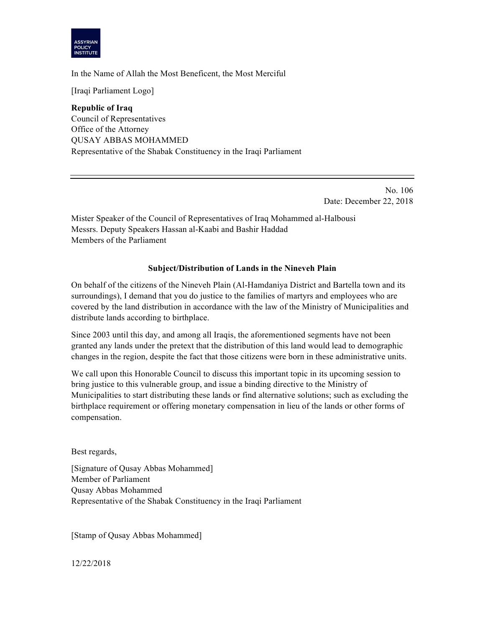

In the Name of Allah the Most Beneficent, the Most Merciful

[Iraqi Parliament Logo]

**Republic of Iraq** Council of Representatives Office of the Attorney QUSAY ABBAS MOHAMMED Representative of the Shabak Constituency in the Iraqi Parliament

> No. 106 Date: December 22, 2018

Mister Speaker of the Council of Representatives of Iraq Mohammed al-Halbousi Messrs. Deputy Speakers Hassan al-Kaabi and Bashir Haddad Members of the Parliament

## **Subject/Distribution of Lands in the Nineveh Plain**

On behalf of the citizens of the Nineveh Plain (Al-Hamdaniya District and Bartella town and its surroundings), I demand that you do justice to the families of martyrs and employees who are covered by the land distribution in accordance with the law of the Ministry of Municipalities and distribute lands according to birthplace.

Since 2003 until this day, and among all Iraqis, the aforementioned segments have not been granted any lands under the pretext that the distribution of this land would lead to demographic changes in the region, despite the fact that those citizens were born in these administrative units.

We call upon this Honorable Council to discuss this important topic in its upcoming session to bring justice to this vulnerable group, and issue a binding directive to the Ministry of Municipalities to start distributing these lands or find alternative solutions; such as excluding the birthplace requirement or offering monetary compensation in lieu of the lands or other forms of compensation.

Best regards,

[Signature of Qusay Abbas Mohammed] Member of Parliament Qusay Abbas Mohammed Representative of the Shabak Constituency in the Iraqi Parliament

[Stamp of Qusay Abbas Mohammed]

12/22/2018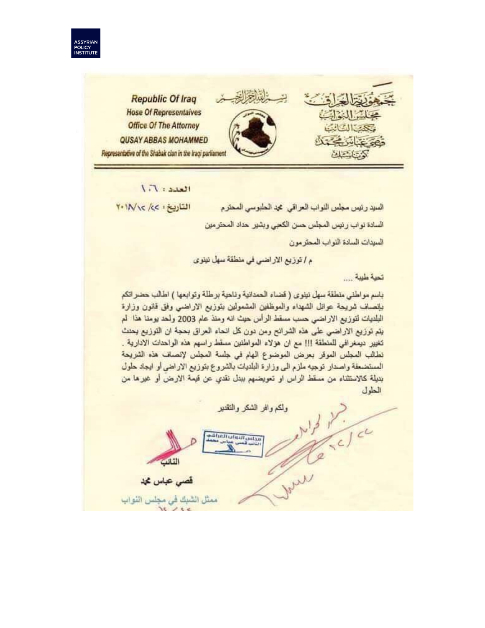



 $L_{\text{MLE}}$ :  $1.1$ 

التاريخ : ٢٠١٨/٢٠

السيد رئيس مجلس اللواب العراقي محد الحلبوسي المحترم السادة نواب رئيس المجلس حسن الكعبي وبشير حداد المحترمين السيدات السادة النواب المحترمون

م / توزيع الاراضي في منطقة سهل نينوي

تمبة ملببة ....

باسم مواطني منطقة سهل نينوي ( قضاء الحمدانية وناحية برطلة وتوابعها ) اطالب حضر اتكم بلنصلف شريحة عوانل الشهداء والموظفين المشمولين بتوزيع الاراضى وفق قانون وزارة البلديات لتوزيع الاراضي حسب مسقط الرأس حيث انه ومنذ عام 2003 ولحد بومنا هذا لم يتم توزيع الاراضـي على هذه الشرائح ومن دون كل انـحاء العراق بـحجة ان التوزيع يـحدث تغيير ديمغرافي للمنطقة !!! مع ان هؤلاء المواطنين مسقط راسهم هذه الواحدات الادارية . تطالب المجلس الموقر بعرض الموضوع الهام في جلسة المجلس لإنصاف هذه الشريحة المستضعفة واصدار توجيه ملزم الى وزارة البلديات بالشروع بتوزيع الاراضي أو ايجاد حلول بديلة كالاستثناء من مستَّط الراس او تعويضهم ببدل نقدي عن قيمة الارض أو غيرها من الطول

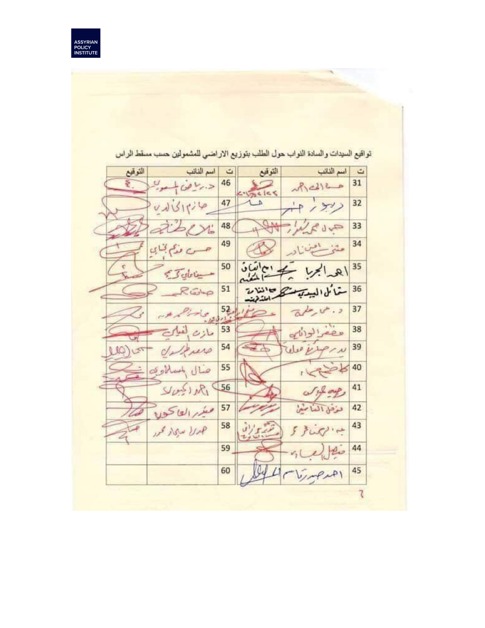